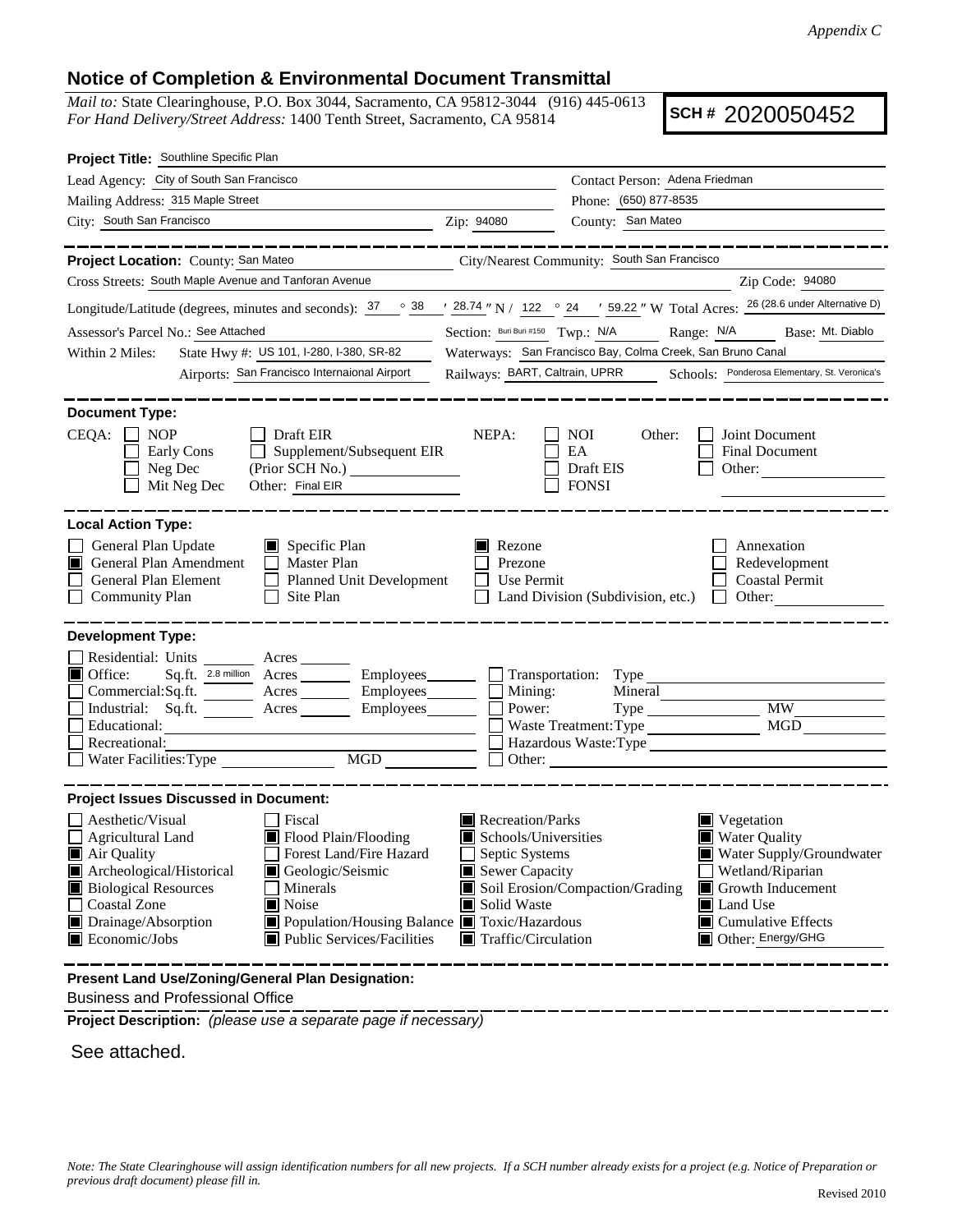## **Notice of Completion & Environmental Document Transmittal**

*Mail to:* State Clearinghouse, P.O. Box 3044, Sacramento, CA 95812-3044 (916) 445-0613 *For Hand Delivery/Street Address:* 1400 Tenth Street, Sacramento, CA 95814

**SCH #** 2020050452

| Project Title: Southline Specific Plan                                                                                                                                                                                                                                                                                                                                                                                                                             |                                                                                                                                   |                                                                                                                                                                                                                         |  |
|--------------------------------------------------------------------------------------------------------------------------------------------------------------------------------------------------------------------------------------------------------------------------------------------------------------------------------------------------------------------------------------------------------------------------------------------------------------------|-----------------------------------------------------------------------------------------------------------------------------------|-------------------------------------------------------------------------------------------------------------------------------------------------------------------------------------------------------------------------|--|
| Lead Agency: City of South San Francisco                                                                                                                                                                                                                                                                                                                                                                                                                           |                                                                                                                                   | Contact Person: Adena Friedman                                                                                                                                                                                          |  |
| Mailing Address: 315 Maple Street                                                                                                                                                                                                                                                                                                                                                                                                                                  |                                                                                                                                   | Phone: (650) 877-8535                                                                                                                                                                                                   |  |
| City: South San Francisco<br><u> 1989 - Johann Barn, fransk politik (</u>                                                                                                                                                                                                                                                                                                                                                                                          | Zip: 94080                                                                                                                        | County: San Mateo                                                                                                                                                                                                       |  |
| _________                                                                                                                                                                                                                                                                                                                                                                                                                                                          |                                                                                                                                   | ____________                                                                                                                                                                                                            |  |
| Project Location: County: San Mateo                                                                                                                                                                                                                                                                                                                                                                                                                                |                                                                                                                                   | City/Nearest Community: South San Francisco                                                                                                                                                                             |  |
| Cross Streets: South Maple Avenue and Tanforan Avenue                                                                                                                                                                                                                                                                                                                                                                                                              |                                                                                                                                   | Zip Code: 94080                                                                                                                                                                                                         |  |
| Longitude/Latitude (degrees, minutes and seconds): $\frac{37}{100}$ $\frac{38}{100}$ / $\frac{28.74}{100}$ N / 122 $\degree$ 24 / 59.22 " W Total Acres: $\frac{26 (28.6 \text{ under Alternative D})}{200}$                                                                                                                                                                                                                                                       |                                                                                                                                   |                                                                                                                                                                                                                         |  |
| Assessor's Parcel No.: See Attached                                                                                                                                                                                                                                                                                                                                                                                                                                |                                                                                                                                   | Section: Buri Buri #150 Twp.: N/A Range: N/A Base: Mt. Diablo                                                                                                                                                           |  |
| State Hwy #: US 101, I-280, I-380, SR-82<br>Within 2 Miles:                                                                                                                                                                                                                                                                                                                                                                                                        | Waterways: San Francisco Bay, Colma Creek, San Bruno Canal                                                                        |                                                                                                                                                                                                                         |  |
| Airports: San Francisco Internaional Airport                                                                                                                                                                                                                                                                                                                                                                                                                       | Railways: BART, Caltrain, UPRR Schools: Ponderosa Elementary, St. Veronica's                                                      |                                                                                                                                                                                                                         |  |
| <b>Document Type:</b><br>CEQA:<br><b>NOP</b><br>Draft EIR<br>Supplement/Subsequent EIR<br>Early Cons<br>Neg Dec<br>Mit Neg Dec<br>Other: Final EIR                                                                                                                                                                                                                                                                                                                 | NEPA:                                                                                                                             | NOI<br>Other:<br>Joint Document<br>EA<br><b>Final Document</b><br>Draft EIS<br>Other:<br><b>FONSI</b>                                                                                                                   |  |
| <b>Local Action Type:</b><br>General Plan Update<br>$\Box$ Specific Plan<br>General Plan Amendment<br>Master Plan<br>LШ<br>General Plan Element<br>Planned Unit Development<br><b>Community Plan</b><br>Site Plan<br>$\Box$                                                                                                                                                                                                                                        | Rezone<br>Prezone<br>Use Permit                                                                                                   | Annexation<br>Redevelopment<br><b>Coastal Permit</b><br>Land Division (Subdivision, etc.)<br>Other:<br>$\mathbf{L}$                                                                                                     |  |
| <b>Development Type:</b><br>Residential: Units ________ Acres _______<br>$\blacksquare$ Office:<br>Sq.ft. 2.8 million Acres _________ Employees ________ Transportation: Type<br>Commercial:Sq.ft.<br>Acres Employees<br>Industrial: Sq.ft.<br>Employees________<br>Acres<br>Educational:<br>Recreational:<br>Water Facilities: Type<br>MGD                                                                                                                        | Mining:<br>Power:                                                                                                                 | Mineral<br><b>MW</b><br>MGD<br>Waste Treatment: Type<br>Other:                                                                                                                                                          |  |
| <b>Project Issues Discussed in Document:</b><br>Aesthetic/Visual<br>Fiscal<br>Agricultural Land<br>Flood Plain/Flooding<br>Air Quality<br>Forest Land/Fire Hazard<br>Archeological/Historical<br>Geologic/Seismic<br><b>Biological Resources</b><br>Minerals<br>Coastal Zone<br>Noise<br>Drainage/Absorption<br>■ Population/Housing Balance ■ Toxic/Hazardous<br>Economic/Jobs<br>Public Services/Facilities<br>Present Land Use/Zoning/General Plan Designation: | Recreation/Parks<br>Schools/Universities<br>Septic Systems<br>Sewer Capacity<br>Solid Waste<br>$\blacksquare$ Traffic/Circulation | Vegetation<br><b>Water Quality</b><br>Water Supply/Groundwater<br>Wetland/Riparian<br>Soil Erosion/Compaction/Grading<br>Growth Inducement<br>$\Box$ Land Use<br>$\blacksquare$ Cumulative Effects<br>Other: Energy/GHG |  |
|                                                                                                                                                                                                                                                                                                                                                                                                                                                                    |                                                                                                                                   |                                                                                                                                                                                                                         |  |

Business and Professional Office

**Project Description:** *(please use a separate page if necessary)*

See attached.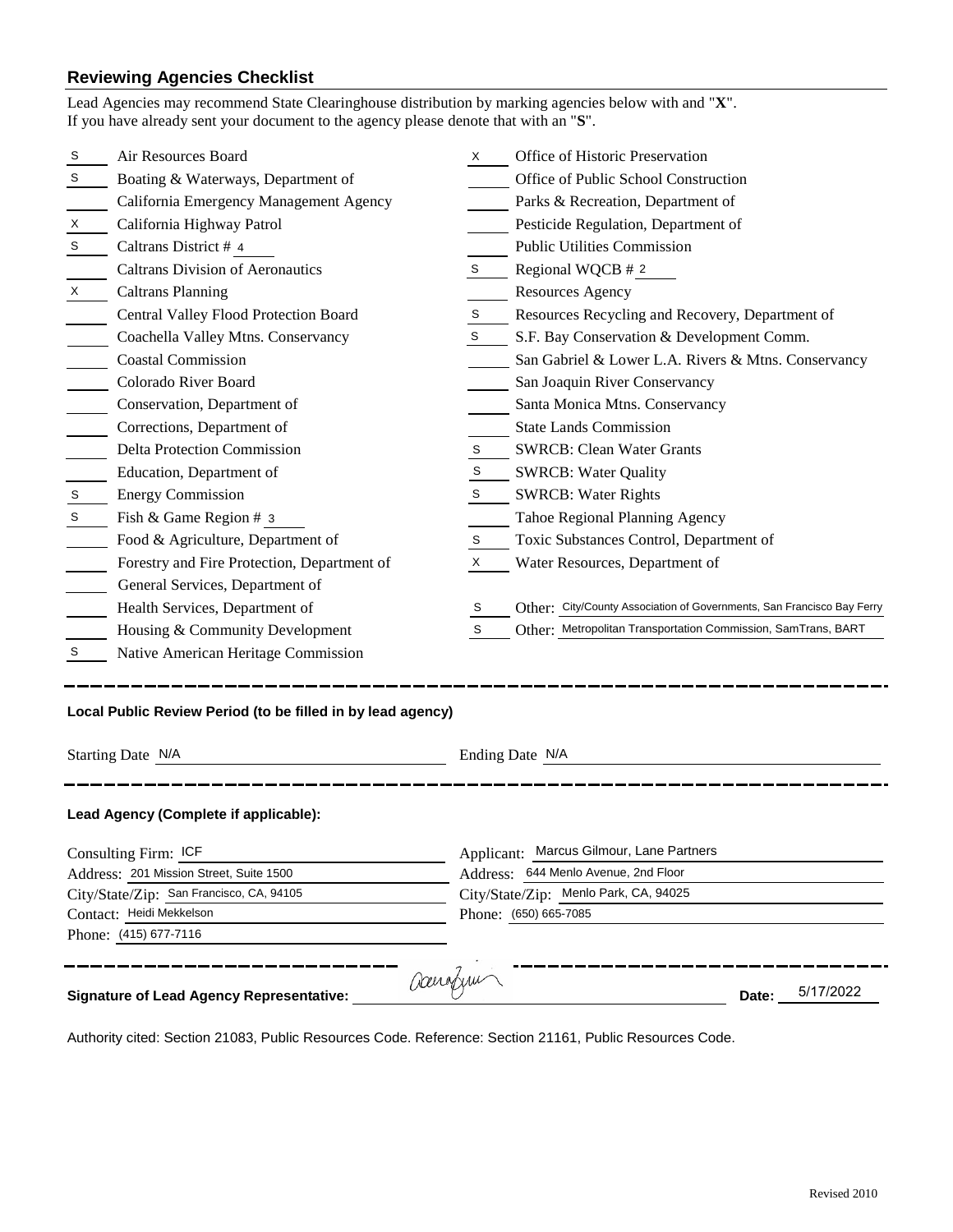## **Reviewing Agencies Checklist**<br>Lead Agencies may recommend State Cl

|                                                                                   | Lead Agencies may recommend State Clearinghouse distribution by marking agencies below with and "X".<br>If you have already sent your document to the agency please denote that with an "S". |    |                                                                        |  |  |
|-----------------------------------------------------------------------------------|----------------------------------------------------------------------------------------------------------------------------------------------------------------------------------------------|----|------------------------------------------------------------------------|--|--|
| S                                                                                 | Air Resources Board                                                                                                                                                                          | X. | Office of Historic Preservation                                        |  |  |
| S                                                                                 | Boating & Waterways, Department of                                                                                                                                                           |    | Office of Public School Construction                                   |  |  |
|                                                                                   | California Emergency Management Agency                                                                                                                                                       |    | Parks & Recreation, Department of                                      |  |  |
| Х                                                                                 | California Highway Patrol                                                                                                                                                                    |    | Pesticide Regulation, Department of                                    |  |  |
| S                                                                                 | Caltrans District # 4                                                                                                                                                                        |    | <b>Public Utilities Commission</b>                                     |  |  |
|                                                                                   | <b>Caltrans Division of Aeronautics</b>                                                                                                                                                      | S  | Regional WQCB # 2                                                      |  |  |
| X                                                                                 | <b>Caltrans Planning</b>                                                                                                                                                                     |    | <b>Resources Agency</b>                                                |  |  |
|                                                                                   | Central Valley Flood Protection Board                                                                                                                                                        | S  | Resources Recycling and Recovery, Department of                        |  |  |
|                                                                                   | Coachella Valley Mtns. Conservancy                                                                                                                                                           | S  | S.F. Bay Conservation & Development Comm.                              |  |  |
|                                                                                   | <b>Coastal Commission</b>                                                                                                                                                                    |    | San Gabriel & Lower L.A. Rivers & Mtns. Conservancy                    |  |  |
|                                                                                   | Colorado River Board                                                                                                                                                                         |    | San Joaquin River Conservancy                                          |  |  |
|                                                                                   | Conservation, Department of                                                                                                                                                                  |    | Santa Monica Mtns. Conservancy                                         |  |  |
|                                                                                   | Corrections, Department of                                                                                                                                                                   |    | <b>State Lands Commission</b>                                          |  |  |
|                                                                                   | Delta Protection Commission                                                                                                                                                                  | S  | <b>SWRCB: Clean Water Grants</b>                                       |  |  |
|                                                                                   | Education, Department of                                                                                                                                                                     | S  | <b>SWRCB: Water Quality</b>                                            |  |  |
| $\mathsf S$                                                                       | <b>Energy Commission</b>                                                                                                                                                                     | S  | <b>SWRCB: Water Rights</b>                                             |  |  |
| $\mathsf S$                                                                       | Fish & Game Region # 3                                                                                                                                                                       |    | Tahoe Regional Planning Agency                                         |  |  |
|                                                                                   | Food & Agriculture, Department of                                                                                                                                                            | S  | Toxic Substances Control, Department of                                |  |  |
|                                                                                   | Forestry and Fire Protection, Department of                                                                                                                                                  | X  | Water Resources, Department of                                         |  |  |
|                                                                                   | General Services, Department of                                                                                                                                                              |    |                                                                        |  |  |
|                                                                                   | Health Services, Department of                                                                                                                                                               | S  | Other: City/County Association of Governments, San Francisco Bay Ferry |  |  |
|                                                                                   | Housing & Community Development                                                                                                                                                              | S  | Other: Metropolitan Transportation Commission, SamTrans, BART          |  |  |
| S                                                                                 | Native American Heritage Commission                                                                                                                                                          |    |                                                                        |  |  |
| Local Public Review Period (to be filled in by lead agency)                       |                                                                                                                                                                                              |    |                                                                        |  |  |
| Starting Date N/A                                                                 |                                                                                                                                                                                              |    | Ending Date N/A                                                        |  |  |
|                                                                                   | Lead Agency (Complete if applicable):                                                                                                                                                        |    |                                                                        |  |  |
| Consulting Firm: ICF                                                              |                                                                                                                                                                                              |    | Applicant: Marcus Gilmour, Lane Partners                               |  |  |
| Address: 201 Mission Street, Suite 1500                                           |                                                                                                                                                                                              |    | Address: 644 Menlo Avenue, 2nd Floor                                   |  |  |
| City/State/Zip: San Francisco, CA, 94105                                          |                                                                                                                                                                                              |    | City/State/Zip: Menlo Park, CA, 94025                                  |  |  |
| Contact: Heidi Mekkelson                                                          |                                                                                                                                                                                              |    | Phone: (650) 665-7085                                                  |  |  |
| Phone: (415) 677-7116                                                             |                                                                                                                                                                                              |    |                                                                        |  |  |
| acerafym<br>5/17/2022<br><b>Signature of Lead Agency Representative:</b><br>Date: |                                                                                                                                                                                              |    |                                                                        |  |  |

Authority cited: Section 21083, Public Resources Code. Reference: Section 21161, Public Resources Code.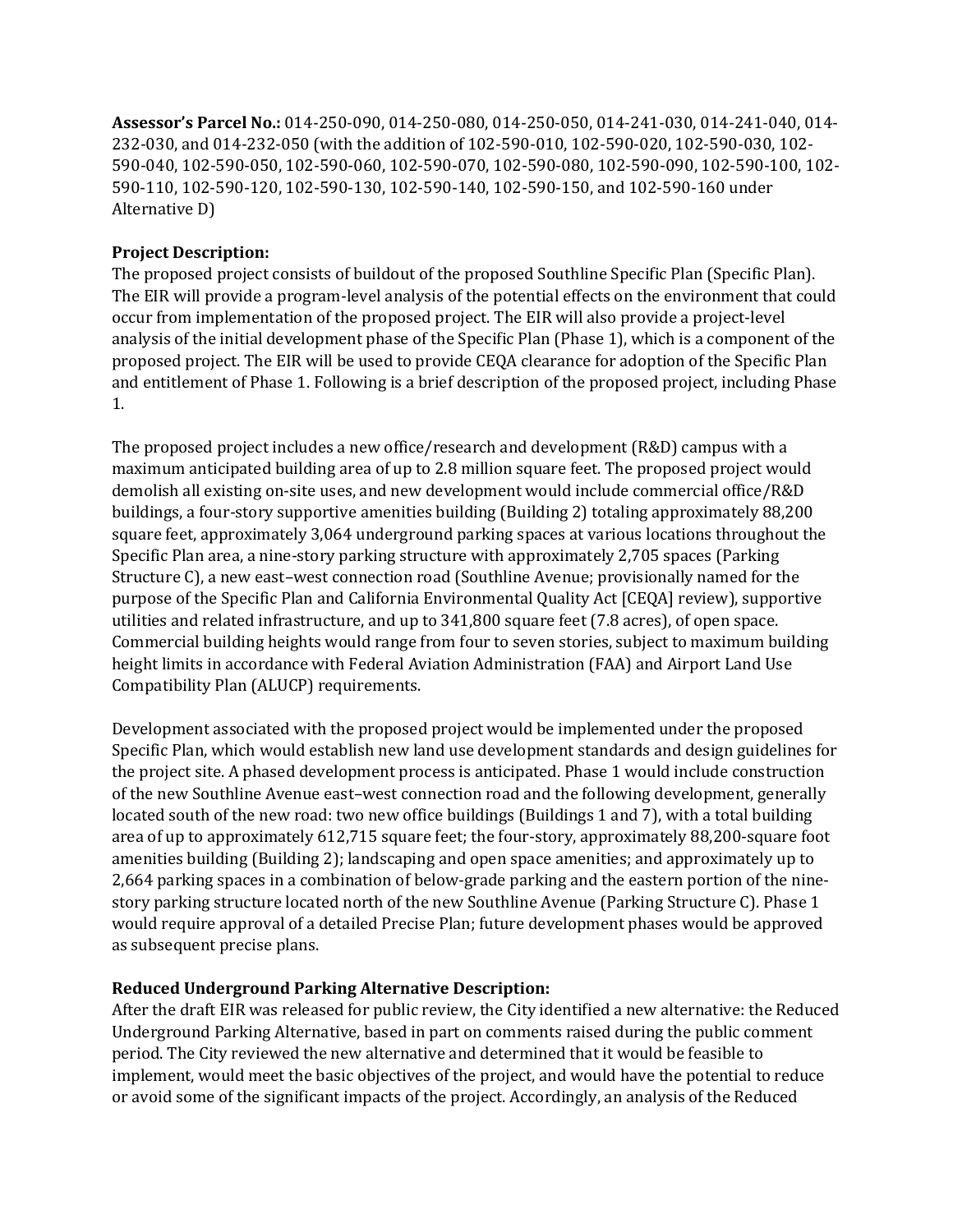**Assessor's Parcel No.:** 014-250-090, 014-250-080, 014-250-050, 014-241-030, 014-241-040, 014- 232-030, and 014-232-050 (with the addition of 102-590-010, 102-590-020, 102-590-030, 102- 590-040, 102-590-050, 102-590-060, 102-590-070, 102-590-080, 102-590-090, 102-590-100, 102- 590-110, 102-590-120, 102-590-130, 102-590-140, 102-590-150, and 102-590-160 under Alternative D)

## **Project Description:**

The proposed project consists of buildout of the proposed Southline Specific Plan (Specific Plan). The EIR will provide a program-level analysis of the potential effects on the environment that could occur from implementation of the proposed project. The EIR will also provide a project-level analysis of the initial development phase of the Specific Plan (Phase 1), which is a component of the proposed project. The EIR will be used to provide CEQA clearance for adoption of the Specific Plan and entitlement of Phase 1. Following is a brief description of the proposed project, including Phase 1.

The proposed project includes a new office/research and development (R&D) campus with a maximum anticipated building area of up to 2.8 million square feet. The proposed project would demolish all existing on-site uses, and new development would include commercial office/R&D buildings, a four-story supportive amenities building (Building 2) totaling approximately 88,200 square feet, approximately 3,064 underground parking spaces at various locations throughout the Specific Plan area, a nine-story parking structure with approximately 2,705 spaces (Parking Structure C), a new east–west connection road (Southline Avenue; provisionally named for the purpose of the Specific Plan and California Environmental Quality Act [CEQA] review), supportive utilities and related infrastructure, and up to 341,800 square feet (7.8 acres), of open space. Commercial building heights would range from four to seven stories, subject to maximum building height limits in accordance with Federal Aviation Administration (FAA) and Airport Land Use Compatibility Plan (ALUCP) requirements.

Development associated with the proposed project would be implemented under the proposed Specific Plan, which would establish new land use development standards and design guidelines for the project site. A phased development process is anticipated. Phase 1 would include construction of the new Southline Avenue east–west connection road and the following development, generally located south of the new road: two new office buildings (Buildings 1 and 7), with a total building area of up to approximately 612,715 square feet; the four-story, approximately 88,200-square foot amenities building (Building 2); landscaping and open space amenities; and approximately up to 2,664 parking spaces in a combination of below-grade parking and the eastern portion of the ninestory parking structure located north of the new Southline Avenue (Parking Structure C). Phase 1 would require approval of a detailed Precise Plan; future development phases would be approved as subsequent precise plans.

## **Reduced Underground Parking Alternative Description:**

After the draft EIR was released for public review, the City identified a new alternative: the Reduced Underground Parking Alternative, based in part on comments raised during the public comment period. The City reviewed the new alternative and determined that it would be feasible to implement, would meet the basic objectives of the project, and would have the potential to reduce or avoid some of the significant impacts of the project. Accordingly, an analysis of the Reduced